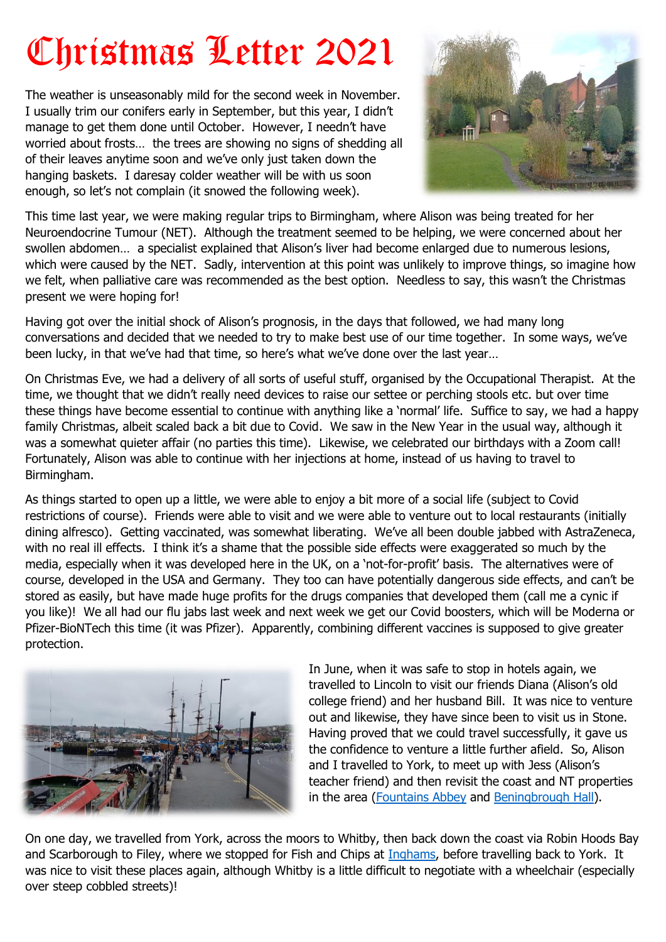## Christmas Letter 2021

The weather is unseasonably mild for the second week in November. I usually trim our conifers early in September, but this year, I didn't manage to get them done until October. However, I needn't have worried about frosts… the trees are showing no signs of shedding all of their leaves anytime soon and we've only just taken down the hanging baskets. I daresay colder weather will be with us soon enough, so let's not complain (it snowed the following week).



This time last year, we were making regular trips to Birmingham, where Alison was being treated for her Neuroendocrine Tumour (NET). Although the treatment seemed to be helping, we were concerned about her swollen abdomen… a specialist explained that Alison's liver had become enlarged due to numerous lesions, which were caused by the NET. Sadly, intervention at this point was unlikely to improve things, so imagine how we felt, when palliative care was recommended as the best option. Needless to say, this wasn't the Christmas present we were hoping for!

Having got over the initial shock of Alison's prognosis, in the days that followed, we had many long conversations and decided that we needed to try to make best use of our time together. In some ways, we've been lucky, in that we've had that time, so here's what we've done over the last year…

On Christmas Eve, we had a delivery of all sorts of useful stuff, organised by the Occupational Therapist. At the time, we thought that we didn't really need devices to raise our settee or perching stools etc. but over time these things have become essential to continue with anything like a 'normal' life. Suffice to say, we had a happy family Christmas, albeit scaled back a bit due to Covid. We saw in the New Year in the usual way, although it was a somewhat quieter affair (no parties this time). Likewise, we celebrated our birthdays with a Zoom call! Fortunately, Alison was able to continue with her injections at home, instead of us having to travel to Birmingham.

As things started to open up a little, we were able to enjoy a bit more of a social life (subject to Covid restrictions of course). Friends were able to visit and we were able to venture out to local restaurants (initially dining alfresco). Getting vaccinated, was somewhat liberating. We've all been double jabbed with AstraZeneca, with no real ill effects. I think it's a shame that the possible side effects were exaggerated so much by the media, especially when it was developed here in the UK, on a 'not-for-profit' basis. The alternatives were of course, developed in the USA and Germany. They too can have potentially dangerous side effects, and can't be stored as easily, but have made huge profits for the drugs companies that developed them (call me a cynic if you like)! We all had our flu jabs last week and next week we get our Covid boosters, which will be Moderna or Pfizer-BioNTech this time (it was Pfizer). Apparently, combining different vaccines is supposed to give greater protection.



In June, when it was safe to stop in hotels again, we travelled to Lincoln to visit our friends Diana (Alison's old college friend) and her husband Bill. It was nice to venture out and likewise, they have since been to visit us in Stone. Having proved that we could travel successfully, it gave us the confidence to venture a little further afield. So, Alison and I travelled to York, to meet up with Jess (Alison's teacher friend) and then revisit the coast and NT properties in the area [\(Fountains Abbey](https://www.nationaltrust.org.uk/fountains-abbey-and-studley-royal-water-garden) and [Beningbrough Hall\)](https://www.nationaltrust.org.uk/beningbrough-hall-gallery-and-gardens).

On one day, we travelled from York, across the moors to Whitby, then back down the coast via Robin Hoods Bay and Scarborough to Filey, where we stopped for Fish and Chips at [Inghams,](https://inghamsfishrestaurant.co.uk/) before travelling back to York. It was nice to visit these places again, although Whitby is a little difficult to negotiate with a wheelchair (especially over steep cobbled streets)!